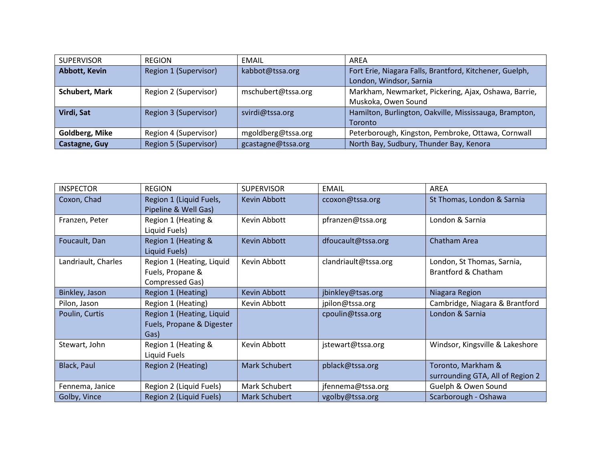| <b>SUPERVISOR</b>     | <b>REGION</b>         | EMAIL              | AREA                                                    |  |
|-----------------------|-----------------------|--------------------|---------------------------------------------------------|--|
| Abbott, Kevin         | Region 1 (Supervisor) | kabbot@tssa.org    | Fort Erie, Niagara Falls, Brantford, Kitchener, Guelph, |  |
|                       |                       |                    | London, Windsor, Sarnia                                 |  |
| <b>Schubert, Mark</b> | Region 2 (Supervisor) | mschubert@tssa.org | Markham, Newmarket, Pickering, Ajax, Oshawa, Barrie,    |  |
|                       |                       |                    | Muskoka, Owen Sound                                     |  |
| Virdi, Sat            | Region 3 (Supervisor) | svirdi@tssa.org    | Hamilton, Burlington, Oakville, Mississauga, Brampton,  |  |
|                       |                       |                    | Toronto                                                 |  |
| <b>Goldberg, Mike</b> | Region 4 (Supervisor) | mgoldberg@tssa.org | Peterborough, Kingston, Pembroke, Ottawa, Cornwall      |  |
| Castagne, Guy         | Region 5 (Supervisor) | gcastagne@tssa.org | North Bay, Sudbury, Thunder Bay, Kenora                 |  |

| <b>INSPECTOR</b>    | <b>REGION</b>                                                    | <b>SUPERVISOR</b>    | EMAIL                | AREA                                                   |
|---------------------|------------------------------------------------------------------|----------------------|----------------------|--------------------------------------------------------|
| Coxon, Chad         | Region 1 (Liquid Fuels,<br>Pipeline & Well Gas)                  | Kevin Abbott         | ccoxon@tssa.org      | St Thomas, London & Sarnia                             |
| Franzen, Peter      | Region 1 (Heating &<br>Liquid Fuels)                             | Kevin Abbott         | pfranzen@tssa.org    | London & Sarnia                                        |
| Foucault, Dan       | Region 1 (Heating &<br>Liquid Fuels)                             | Kevin Abbott         | dfoucault@tssa.org   | Chatham Area                                           |
| Landriault, Charles | Region 1 (Heating, Liquid<br>Fuels, Propane &<br>Compressed Gas) | Kevin Abbott         | clandriault@tssa.org | London, St Thomas, Sarnia,<br>Brantford & Chatham      |
| Binkley, Jason      | Region 1 (Heating)                                               | Kevin Abbott         | jbinkley@tsas.org    | Niagara Region                                         |
| Pilon, Jason        | Region 1 (Heating)                                               | Kevin Abbott         | jpilon@tssa.org      | Cambridge, Niagara & Brantford                         |
| Poulin, Curtis      | Region 1 (Heating, Liquid<br>Fuels, Propane & Digester<br>Gas)   |                      | cpoulin@tssa.org     | London & Sarnia                                        |
| Stewart, John       | Region 1 (Heating &<br>Liquid Fuels                              | Kevin Abbott         | jstewart@tssa.org    | Windsor, Kingsville & Lakeshore                        |
| Black, Paul         | Region 2 (Heating)                                               | <b>Mark Schubert</b> | pblack@tssa.org      | Toronto, Markham &<br>surrounding GTA, All of Region 2 |
| Fennema, Janice     | Region 2 (Liquid Fuels)                                          | Mark Schubert        | jfennema@tssa.org    | Guelph & Owen Sound                                    |
| Golby, Vince        | Region 2 (Liquid Fuels)                                          | <b>Mark Schubert</b> | vgolby@tssa.org      | Scarborough - Oshawa                                   |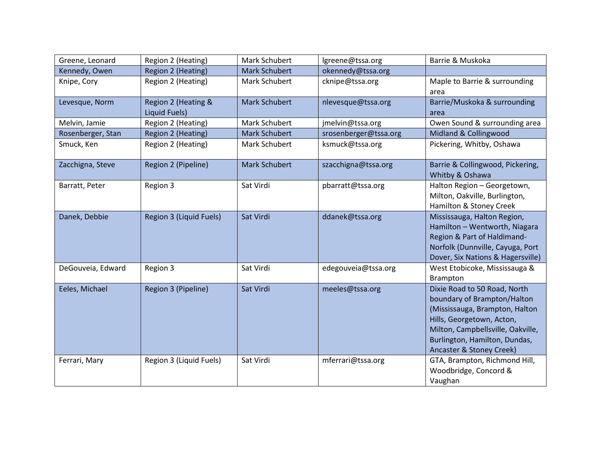| Greene, Leonard   | Region 2 (Heating)                   | Mark Schubert        | lgreene@tssa.org      | Barrie & Muskoka                                                                                                                                                                                                             |
|-------------------|--------------------------------------|----------------------|-----------------------|------------------------------------------------------------------------------------------------------------------------------------------------------------------------------------------------------------------------------|
| Kennedy, Owen     | Region 2 (Heating)                   | <b>Mark Schubert</b> | okennedy@tssa.org     |                                                                                                                                                                                                                              |
| Knipe, Cory       | Region 2 (Heating)                   | Mark Schubert        | cknipe@tssa.org       | Maple to Barrie & surrounding<br>area                                                                                                                                                                                        |
| Levesque, Norm    | Region 2 (Heating &<br>Liquid Fuels) | <b>Mark Schubert</b> | nlevesque@tssa.org    | Barrie/Muskoka & surrounding<br>area                                                                                                                                                                                         |
| Melvin, Jamie     | Region 2 (Heating)                   | Mark Schubert        | jmelvin@tssa.org      | Owen Sound & surrounding area                                                                                                                                                                                                |
| Rosenberger, Stan | Region 2 (Heating)                   | <b>Mark Schubert</b> | srosenberger@tssa.org | Midland & Collingwood                                                                                                                                                                                                        |
| Smuck, Ken        | Region 2 (Heating)                   | Mark Schubert        | ksmuck@tssa.org       | Pickering, Whitby, Oshawa                                                                                                                                                                                                    |
| Zacchigna, Steve  | Region 2 (Pipeline)                  | <b>Mark Schubert</b> | szacchigna@tssa.org   | Barrie & Collingwood, Pickering,<br>Whitby & Oshawa                                                                                                                                                                          |
| Barratt, Peter    | Region 3                             | Sat Virdi            | pbarratt@tssa.org     | Halton Region - Georgetown,<br>Milton, Oakville, Burlington,<br>Hamilton & Stoney Creek                                                                                                                                      |
| Danek, Debbie     | Region 3 (Liquid Fuels)              | Sat Virdi            | ddanek@tssa.org       | Mississauga, Halton Region,<br>Hamilton - Wentworth, Niagara<br>Region & Part of Haldimand-<br>Norfolk (Dunnville, Cayuga, Port<br>Dover, Six Nations & Hagersville)                                                         |
| DeGouveia, Edward | Region 3                             | Sat Virdi            | edegouveia@tssa.org   | West Etobicoke, Mississauga &<br>Brampton                                                                                                                                                                                    |
| Eeles, Michael    | Region 3 (Pipeline)                  | Sat Virdi            | meeles@tssa.org       | Dixie Road to 50 Road, North<br>boundary of Brampton/Halton<br>(Mississauga, Brampton, Halton<br>Hills, Georgetown, Acton,<br>Milton, Campbellsville, Oakville,<br>Burlington, Hamilton, Dundas,<br>Ancaster & Stoney Creek) |
| Ferrari, Mary     | Region 3 (Liquid Fuels)              | Sat Virdi            | mferrari@tssa.org     | GTA, Brampton, Richmond Hill,<br>Woodbridge, Concord &<br>Vaughan                                                                                                                                                            |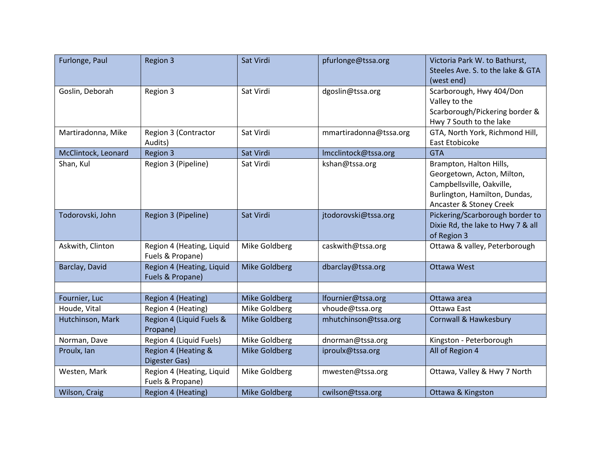| Furlonge, Paul      | Region 3                                      | Sat Virdi            | pfurlonge@tssa.org     | Victoria Park W. to Bathurst,<br>Steeles Ave. S. to the lake & GTA                                                                             |
|---------------------|-----------------------------------------------|----------------------|------------------------|------------------------------------------------------------------------------------------------------------------------------------------------|
|                     |                                               |                      |                        | (west end)                                                                                                                                     |
| Goslin, Deborah     | Region 3                                      | Sat Virdi            | dgoslin@tssa.org       | Scarborough, Hwy 404/Don<br>Valley to the<br>Scarborough/Pickering border &<br>Hwy 7 South to the lake                                         |
| Martiradonna, Mike  | Region 3 (Contractor<br>Audits)               | Sat Virdi            | mmartiradonna@tssa.org | GTA, North York, Richmond Hill,<br>East Etobicoke                                                                                              |
| McClintock, Leonard | <b>Region 3</b>                               | Sat Virdi            | Imcclintock@tssa.org   | <b>GTA</b>                                                                                                                                     |
| Shan, Kul           | Region 3 (Pipeline)                           | Sat Virdi            | kshan@tssa.org         | Brampton, Halton Hills,<br>Georgetown, Acton, Milton,<br>Campbellsville, Oakville,<br>Burlington, Hamilton, Dundas,<br>Ancaster & Stoney Creek |
| Todorovski, John    | Region 3 (Pipeline)                           | Sat Virdi            | jtodorovski@tssa.org   | Pickering/Scarborough border to<br>Dixie Rd, the lake to Hwy 7 & all<br>of Region 3                                                            |
| Askwith, Clinton    | Region 4 (Heating, Liquid<br>Fuels & Propane) | Mike Goldberg        | caskwith@tssa.org      | Ottawa & valley, Peterborough                                                                                                                  |
| Barclay, David      | Region 4 (Heating, Liquid<br>Fuels & Propane) | <b>Mike Goldberg</b> | dbarclay@tssa.org      | <b>Ottawa West</b>                                                                                                                             |
|                     |                                               |                      |                        |                                                                                                                                                |
| Fournier, Luc       | <b>Region 4 (Heating)</b>                     | Mike Goldberg        | lfournier@tssa.org     | Ottawa area                                                                                                                                    |
| Houde, Vital        | Region 4 (Heating)                            | Mike Goldberg        | vhoude@tssa.org        | Ottawa East                                                                                                                                    |
| Hutchinson, Mark    | Region 4 (Liquid Fuels &<br>Propane)          | <b>Mike Goldberg</b> | mhutchinson@tssa.org   | Cornwall & Hawkesbury                                                                                                                          |
| Norman, Dave        | Region 4 (Liquid Fuels)                       | Mike Goldberg        | dnorman@tssa.org       | Kingston - Peterborough                                                                                                                        |
| Proulx, Ian         | Region 4 (Heating &<br>Digester Gas)          | Mike Goldberg        | iproulx@tssa.org       | All of Region 4                                                                                                                                |
| Westen, Mark        | Region 4 (Heating, Liquid<br>Fuels & Propane) | Mike Goldberg        | mwesten@tssa.org       | Ottawa, Valley & Hwy 7 North                                                                                                                   |
| Wilson, Craig       | Region 4 (Heating)                            | <b>Mike Goldberg</b> | cwilson@tssa.org       | Ottawa & Kingston                                                                                                                              |